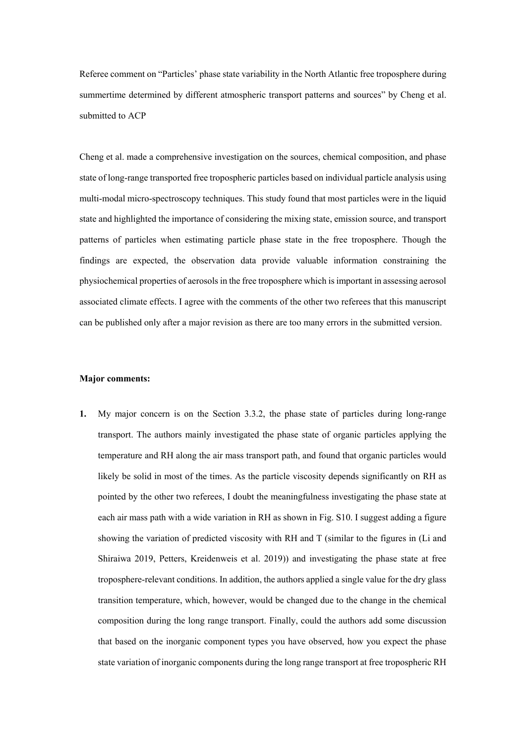Referee comment on "Particles' phase state variability in the North Atlantic free troposphere during summertime determined by different atmospheric transport patterns and sources" by Cheng et al. submitted to ACP

Cheng et al. made a comprehensive investigation on the sources, chemical composition, and phase state of long-range transported free tropospheric particles based on individual particle analysis using multi-modal micro-spectroscopy techniques. This study found that most particles were in the liquid state and highlighted the importance of considering the mixing state, emission source, and transport patterns of particles when estimating particle phase state in the free troposphere. Though the findings are expected, the observation data provide valuable information constraining the physiochemical properties of aerosols in the free troposphere which is important in assessing aerosol associated climate effects. I agree with the comments of the other two referees that this manuscript can be published only after a major revision as there are too many errors in the submitted version.

#### **Major comments:**

**1.** My major concern is on the Section 3.3.2, the phase state of particles during long-range transport. The authors mainly investigated the phase state of organic particles applying the temperature and RH along the air mass transport path, and found that organic particles would likely be solid in most of the times. As the particle viscosity depends significantly on RH as pointed by the other two referees, I doubt the meaningfulness investigating the phase state at each air mass path with a wide variation in RH as shown in Fig. S10. I suggest adding a figure showing the variation of predicted viscosity with RH and T (similar to the figures in (Li and Shiraiwa 2019, Petters, Kreidenweis et al. 2019)) and investigating the phase state at free troposphere-relevant conditions. In addition, the authors applied a single value for the dry glass transition temperature, which, however, would be changed due to the change in the chemical composition during the long range transport. Finally, could the authors add some discussion that based on the inorganic component types you have observed, how you expect the phase state variation of inorganic components during the long range transport at free tropospheric RH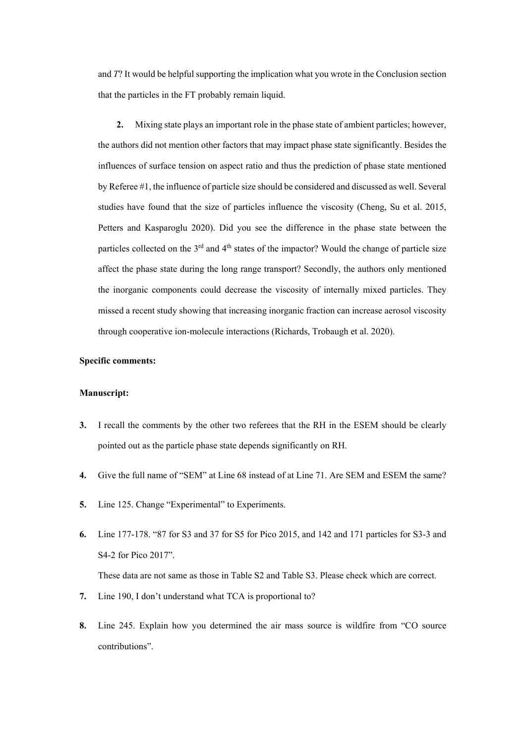and *T*? It would be helpful supporting the implication what you wrote in the Conclusion section that the particles in the FT probably remain liquid.

**2.** Mixing state plays an important role in the phase state of ambient particles; however, the authors did not mention other factors that may impact phase state significantly. Besides the influences of surface tension on aspect ratio and thus the prediction of phase state mentioned by Referee #1, the influence of particle size should be considered and discussed as well. Several studies have found that the size of particles influence the viscosity (Cheng, Su et al. 2015, Petters and Kasparoglu 2020). Did you see the difference in the phase state between the particles collected on the  $3<sup>rd</sup>$  and  $4<sup>th</sup>$  states of the impactor? Would the change of particle size affect the phase state during the long range transport? Secondly, the authors only mentioned the inorganic components could decrease the viscosity of internally mixed particles. They missed a recent study showing that increasing inorganic fraction can increase aerosol viscosity through cooperative ion-molecule interactions (Richards, Trobaugh et al. 2020).

## **Specific comments:**

## **Manuscript:**

- **3.** I recall the comments by the other two referees that the RH in the ESEM should be clearly pointed out as the particle phase state depends significantly on RH.
- **4.** Give the full name of "SEM" at Line 68 instead of at Line 71. Are SEM and ESEM the same?
- **5.** Line 125. Change "Experimental" to Experiments.
- **6.** Line 177-178. "87 for S3 and 37 for S5 for Pico 2015, and 142 and 171 particles for S3-3 and S4-2 for Pico 2017".

These data are not same as those in Table S2 and Table S3. Please check which are correct.

- **7.** Line 190, I don't understand what TCA is proportional to?
- **8.** Line 245. Explain how you determined the air mass source is wildfire from "CO source contributions".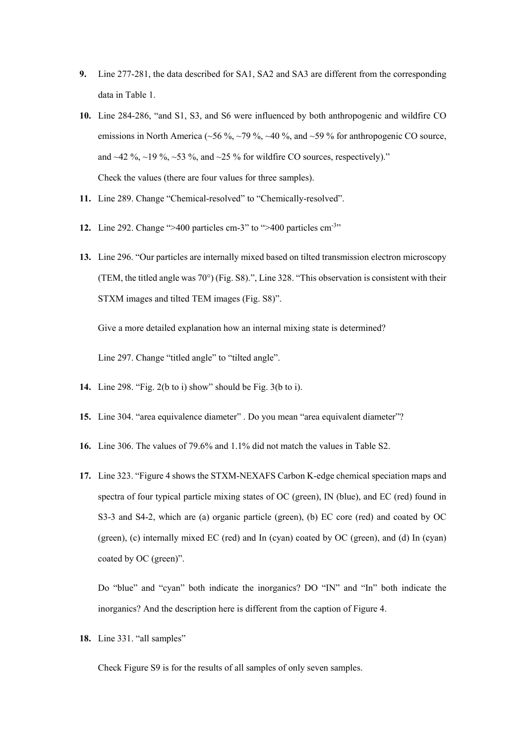- **9.** Line 277-281, the data described for SA1, SA2 and SA3 are different from the corresponding data in Table 1.
- **10.** Line 284-286, "and S1, S3, and S6 were influenced by both anthropogenic and wildfire CO emissions in North America ( $\sim$ 56 %,  $\sim$ 79 %,  $\sim$ 40 %, and  $\sim$ 59 % for anthropogenic CO source, and  $\sim$  42 %,  $\sim$  19 %,  $\sim$  53 %, and  $\sim$  25 % for wildfire CO sources, respectively)." Check the values (there are four values for three samples).
- **11.** Line 289. Change "Chemical-resolved" to "Chemically-resolved".
- 12. Line 292. Change ">400 particles cm-3" to ">400 particles cm<sup>-3</sup>"
- **13.** Line 296. "Our particles are internally mixed based on tilted transmission electron microscopy (TEM, the titled angle was 70°) (Fig. S8).", Line 328. "This observation is consistent with their STXM images and tilted TEM images (Fig. S8)".

Give a more detailed explanation how an internal mixing state is determined?

Line 297. Change "titled angle" to "tilted angle".

- **14.** Line 298. "Fig. 2(b to i) show" should be Fig. 3(b to i).
- **15.** Line 304. "area equivalence diameter" . Do you mean "area equivalent diameter"?
- **16.** Line 306. The values of 79.6% and 1.1% did not match the values in Table S2.
- **17.** Line 323. "Figure 4 shows the STXM-NEXAFS Carbon K-edge chemical speciation maps and spectra of four typical particle mixing states of OC (green), IN (blue), and EC (red) found in S3-3 and S4-2, which are (a) organic particle (green), (b) EC core (red) and coated by OC (green), (c) internally mixed EC (red) and In (cyan) coated by OC (green), and (d) In (cyan) coated by OC (green)".

Do "blue" and "cyan" both indicate the inorganics? DO "IN" and "In" both indicate the inorganics? And the description here is different from the caption of Figure 4.

**18.** Line 331. "all samples"

Check Figure S9 is for the results of all samples of only seven samples.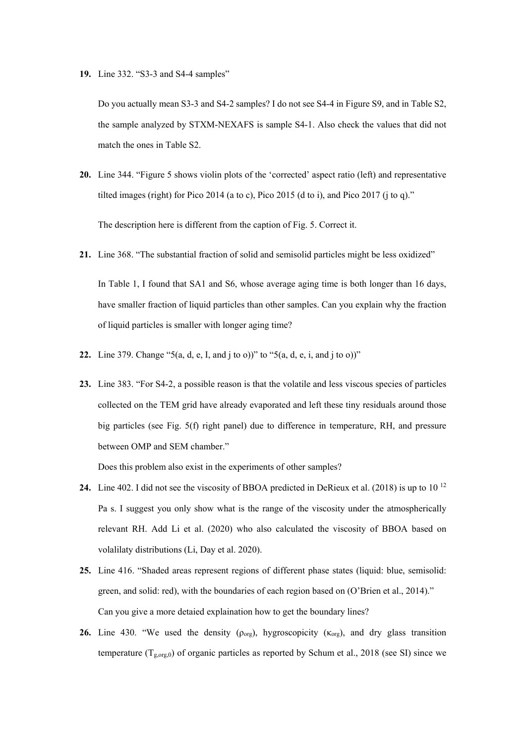**19.** Line 332. "S3-3 and S4-4 samples"

Do you actually mean S3-3 and S4-2 samples? I do not see S4-4 in Figure S9, and in Table S2, the sample analyzed by STXM-NEXAFS is sample S4-1. Also check the values that did not match the ones in Table S2.

**20.** Line 344. "Figure 5 shows violin plots of the 'corrected' aspect ratio (left) and representative tilted images (right) for Pico 2014 (a to c), Pico 2015 (d to i), and Pico 2017 (j to q)."

The description here is different from the caption of Fig. 5. Correct it.

- **21.** Line 368. "The substantial fraction of solid and semisolid particles might be less oxidized" In Table 1, I found that SA1 and S6, whose average aging time is both longer than 16 days, have smaller fraction of liquid particles than other samples. Can you explain why the fraction of liquid particles is smaller with longer aging time?
- **22.** Line 379. Change "5(a, d, e, I, and j to o))" to "5(a, d, e, i, and j to o))"
- **23.** Line 383. "For S4-2, a possible reason is that the volatile and less viscous species of particles collected on the TEM grid have already evaporated and left these tiny residuals around those big particles (see Fig. 5(f) right panel) due to difference in temperature, RH, and pressure between OMP and SEM chamber."

Does this problem also exist in the experiments of other samples?

- **24.** Line 402. I did not see the viscosity of BBOA predicted in DeRieux et al. (2018) is up to 10 12 Pa s. I suggest you only show what is the range of the viscosity under the atmospherically relevant RH. Add Li et al. (2020) who also calculated the viscosity of BBOA based on volalilaty distributions (Li, Day et al. 2020).
- **25.** Line 416. "Shaded areas represent regions of different phase states (liquid: blue, semisolid: green, and solid: red), with the boundaries of each region based on (O'Brien et al., 2014)." Can you give a more detaied explaination how to get the boundary lines?
- **26.** Line 430. "We used the density  $(\rho_{org})$ , hygroscopicity  $(\kappa_{org})$ , and dry glass transition temperature  $(T_{g,org,0})$  of organic particles as reported by Schum et al., 2018 (see SI) since we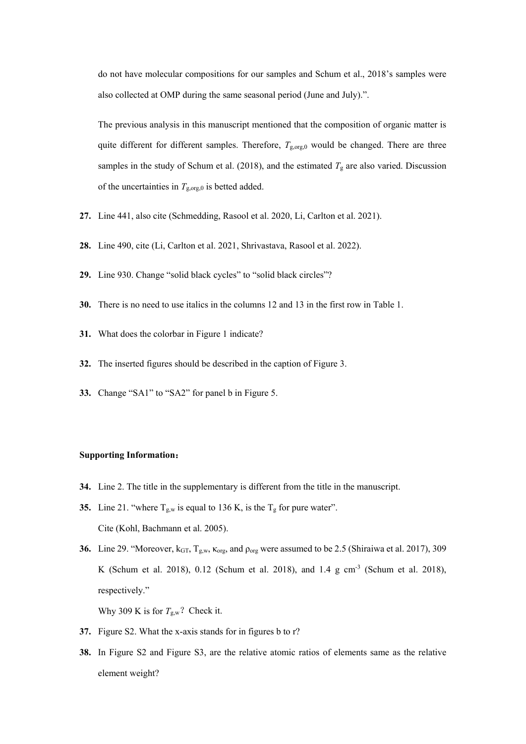do not have molecular compositions for our samples and Schum et al., 2018's samples were also collected at OMP during the same seasonal period (June and July).".

The previous analysis in this manuscript mentioned that the composition of organic matter is quite different for different samples. Therefore,  $T_{\text{g,org,0}}$  would be changed. There are three samples in the study of Schum et al. (2018), and the estimated  $T_g$  are also varied. Discussion of the uncertainties in  $T_{\text{g,org,0}}$  is betted added.

- **27.** Line 441, also cite (Schmedding, Rasool et al. 2020, Li, Carlton et al. 2021).
- **28.** Line 490, cite (Li, Carlton et al. 2021, Shrivastava, Rasool et al. 2022).
- **29.** Line 930. Change "solid black cycles" to "solid black circles"?
- **30.** There is no need to use italics in the columns 12 and 13 in the first row in Table 1.
- **31.** What does the colorbar in Figure 1 indicate?
- **32.** The inserted figures should be described in the caption of Figure 3.
- **33.** Change "SA1" to "SA2" for panel b in Figure 5.

### **Supporting Information**:

- **34.** Line 2. The title in the supplementary is different from the title in the manuscript.
- **35.** Line 21. "where  $T_{g,w}$  is equal to 136 K, is the  $T_g$  for pure water". Cite (Kohl, Bachmann et al. 2005).
- **36.** Line 29. "Moreover,  $k_{GT}$ ,  $T_{g,w}$ ,  $\kappa_{org}$ , and  $\rho_{org}$  were assumed to be 2.5 (Shiraiwa et al. 2017), 309 K (Schum et al. 2018), 0.12 (Schum et al. 2018), and 1.4 g cm-3 (Schum et al. 2018), respectively."

Why 309 K is for  $T_{g,w}$ ? Check it.

- **37.** Figure S2. What the x-axis stands for in figures b to r?
- **38.** In Figure S2 and Figure S3, are the relative atomic ratios of elements same as the relative element weight?